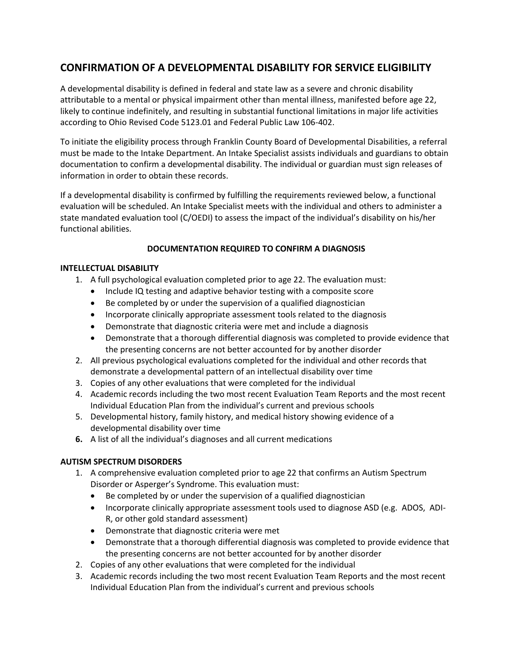# **CONFIRMATION OF A DEVELOPMENTAL DISABILITY FOR SERVICE ELIGIBILITY**

A developmental disability is defined in federal and state law as a severe and chronic disability attributable to a mental or physical impairment other than mental illness, manifested before age 22, likely to continue indefinitely, and resulting in substantial functional limitations in major life activities according to Ohio Revised Code 5123.01 and Federal Public Law 106-402.

To initiate the eligibility process through Franklin County Board of Developmental Disabilities, a referral must be made to the Intake Department. An Intake Specialist assists individuals and guardians to obtain documentation to confirm a developmental disability. The individual or guardian must sign releases of information in order to obtain these records.

If a developmental disability is confirmed by fulfilling the requirements reviewed below, a functional evaluation will be scheduled. An Intake Specialist meets with the individual and others to administer a state mandated evaluation tool (C/OEDI) to assess the impact of the individual's disability on his/her functional abilities.

# **DOCUMENTATION REQUIRED TO CONFIRM A DIAGNOSIS**

#### **INTELLECTUAL DISABILITY**

- 1. A full psychological evaluation completed prior to age 22. The evaluation must:
	- Include IQ testing and adaptive behavior testing with a composite score
	- Be completed by or under the supervision of a qualified diagnostician
	- Incorporate clinically appropriate assessment tools related to the diagnosis
	- Demonstrate that diagnostic criteria were met and include a diagnosis
	- Demonstrate that a thorough differential diagnosis was completed to provide evidence that the presenting concerns are not better accounted for by another disorder
- 2. All previous psychological evaluations completed for the individual and other records that demonstrate a developmental pattern of an intellectual disability over time
- 3. Copies of any other evaluations that were completed for the individual
- 4. Academic records including the two most recent Evaluation Team Reports and the most recent Individual Education Plan from the individual's current and previous schools
- 5. Developmental history, family history, and medical history showing evidence of a developmental disability over time
- **6.** A list of all the individual's diagnoses and all current medications

#### **AUTISM SPECTRUM DISORDERS**

- 1. A comprehensive evaluation completed prior to age 22 that confirms an Autism Spectrum Disorder or Asperger's Syndrome. This evaluation must:
	- Be completed by or under the supervision of a qualified diagnostician
	- Incorporate clinically appropriate assessment tools used to diagnose ASD (e.g. ADOS, ADI-R, or other gold standard assessment)
	- Demonstrate that diagnostic criteria were met
	- Demonstrate that a thorough differential diagnosis was completed to provide evidence that the presenting concerns are not better accounted for by another disorder
- 2. Copies of any other evaluations that were completed for the individual
- 3. Academic records including the two most recent Evaluation Team Reports and the most recent Individual Education Plan from the individual's current and previous schools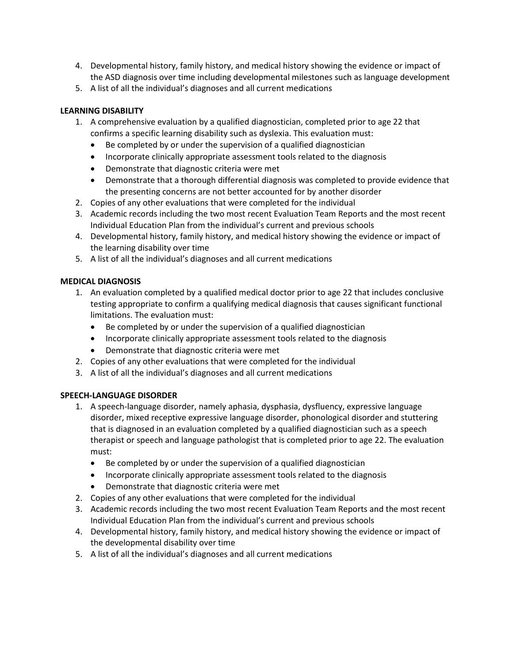- 4. Developmental history, family history, and medical history showing the evidence or impact of the ASD diagnosis over time including developmental milestones such as language development
- 5. A list of all the individual's diagnoses and all current medications

## **LEARNING DISABILITY**

- 1. A comprehensive evaluation by a qualified diagnostician, completed prior to age 22 that confirms a specific learning disability such as dyslexia. This evaluation must:
	- Be completed by or under the supervision of a qualified diagnostician
	- Incorporate clinically appropriate assessment tools related to the diagnosis
	- Demonstrate that diagnostic criteria were met
	- Demonstrate that a thorough differential diagnosis was completed to provide evidence that the presenting concerns are not better accounted for by another disorder
- 2. Copies of any other evaluations that were completed for the individual
- 3. Academic records including the two most recent Evaluation Team Reports and the most recent Individual Education Plan from the individual's current and previous schools
- 4. Developmental history, family history, and medical history showing the evidence or impact of the learning disability over time
- 5. A list of all the individual's diagnoses and all current medications

#### **MEDICAL DIAGNOSIS**

- 1. An evaluation completed by a qualified medical doctor prior to age 22 that includes conclusive testing appropriate to confirm a qualifying medical diagnosis that causes significant functional limitations. The evaluation must:
	- Be completed by or under the supervision of a qualified diagnostician
	- Incorporate clinically appropriate assessment tools related to the diagnosis
	- Demonstrate that diagnostic criteria were met
- 2. Copies of any other evaluations that were completed for the individual
- 3. A list of all the individual's diagnoses and all current medications

#### **SPEECH-LANGUAGE DISORDER**

- 1. A speech-language disorder, namely aphasia, dysphasia, dysfluency, expressive language disorder, mixed receptive expressive language disorder, phonological disorder and stuttering that is diagnosed in an evaluation completed by a qualified diagnostician such as a speech therapist or speech and language pathologist that is completed prior to age 22. The evaluation must:
	- Be completed by or under the supervision of a qualified diagnostician
	- Incorporate clinically appropriate assessment tools related to the diagnosis
	- Demonstrate that diagnostic criteria were met
- 2. Copies of any other evaluations that were completed for the individual
- 3. Academic records including the two most recent Evaluation Team Reports and the most recent Individual Education Plan from the individual's current and previous schools
- 4. Developmental history, family history, and medical history showing the evidence or impact of the developmental disability over time
- 5. A list of all the individual's diagnoses and all current medications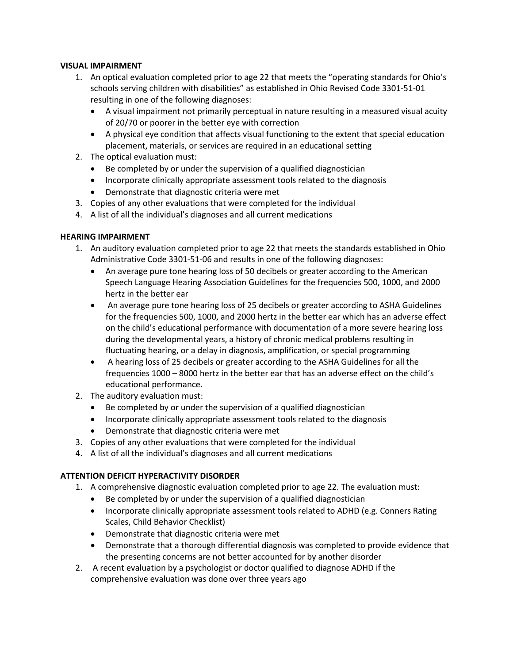### **VISUAL IMPAIRMENT**

- 1. An optical evaluation completed prior to age 22 that meets the "operating standards for Ohio's schools serving children with disabilities" as established in Ohio Revised Code 3301-51-01 resulting in one of the following diagnoses:
	- A visual impairment not primarily perceptual in nature resulting in a measured visual acuity of 20/70 or poorer in the better eye with correction
	- A physical eye condition that affects visual functioning to the extent that special education placement, materials, or services are required in an educational setting
- 2. The optical evaluation must:
	- Be completed by or under the supervision of a qualified diagnostician
	- Incorporate clinically appropriate assessment tools related to the diagnosis
	- Demonstrate that diagnostic criteria were met
- 3. Copies of any other evaluations that were completed for the individual
- 4. A list of all the individual's diagnoses and all current medications

## **HEARING IMPAIRMENT**

- 1. An auditory evaluation completed prior to age 22 that meets the standards established in Ohio Administrative Code 3301-51-06 and results in one of the following diagnoses:
	- An average pure tone hearing loss of 50 decibels or greater according to the American Speech Language Hearing Association Guidelines for the frequencies 500, 1000, and 2000 hertz in the better ear
	- An average pure tone hearing loss of 25 decibels or greater according to ASHA Guidelines for the frequencies 500, 1000, and 2000 hertz in the better ear which has an adverse effect on the child's educational performance with documentation of a more severe hearing loss during the developmental years, a history of chronic medical problems resulting in fluctuating hearing, or a delay in diagnosis, amplification, or special programming
	- A hearing loss of 25 decibels or greater according to the ASHA Guidelines for all the frequencies 1000 – 8000 hertz in the better ear that has an adverse effect on the child's educational performance.
- 2. The auditory evaluation must:
	- Be completed by or under the supervision of a qualified diagnostician
	- Incorporate clinically appropriate assessment tools related to the diagnosis
	- Demonstrate that diagnostic criteria were met
- 3. Copies of any other evaluations that were completed for the individual
- 4. A list of all the individual's diagnoses and all current medications

## **ATTENTION DEFICIT HYPERACTIVITY DISORDER**

- 1. A comprehensive diagnostic evaluation completed prior to age 22. The evaluation must:
	- Be completed by or under the supervision of a qualified diagnostician
	- Incorporate clinically appropriate assessment tools related to ADHD (e.g. Conners Rating Scales, Child Behavior Checklist)
	- Demonstrate that diagnostic criteria were met
	- Demonstrate that a thorough differential diagnosis was completed to provide evidence that the presenting concerns are not better accounted for by another disorder
- 2. A recent evaluation by a psychologist or doctor qualified to diagnose ADHD if the comprehensive evaluation was done over three years ago